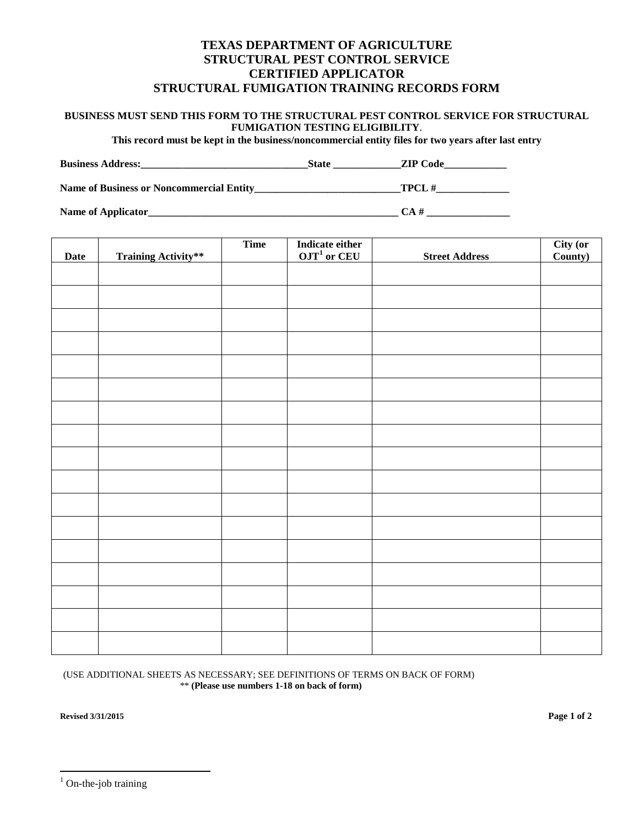## **TEXAS DEPARTMENT OF AGRICULTURE STRUCTURAL PEST CONTROL SERVICE CERTIFIED APPLICATOR STRUCTURAL FUMIGATION TRAINING RECORDS FORM**

## **BUSINESS MUST SEND THIS FORM TO THE STRUCTURAL PEST CONTROL SERVICE FOR STRUCTURAL FUMIGATION TESTING ELIGIBILITY**.

**This record must be kept in the business/noncommercial entity files for two years after last entry** 

| <b>Business</b><br>Address: |  |  |
|-----------------------------|--|--|
|-----------------------------|--|--|

**Name of Business or Noncommercial Entity\_\_\_\_\_\_\_\_\_\_\_\_\_\_\_\_\_\_\_\_\_\_\_\_\_\_\_\_TPCL #\_\_\_\_\_\_\_\_\_\_\_\_\_\_** 

**Name of Applicator\_\_\_\_\_\_\_\_\_\_\_\_\_\_\_\_\_\_\_\_\_\_\_\_\_\_\_\_\_\_\_\_\_\_\_\_\_\_\_\_\_\_\_\_\_\_\_\_ CA # \_\_\_\_\_\_\_\_\_\_\_\_\_\_\_\_**

|             |                            | <b>Time</b> | Indicate either<br>OJT <sup>1</sup> or CEU |                       | <b>City (or County)</b> |
|-------------|----------------------------|-------------|--------------------------------------------|-----------------------|-------------------------|
| <b>Date</b> | <b>Training Activity**</b> |             |                                            | <b>Street Address</b> |                         |
|             |                            |             |                                            |                       |                         |
|             |                            |             |                                            |                       |                         |
|             |                            |             |                                            |                       |                         |
|             |                            |             |                                            |                       |                         |
|             |                            |             |                                            |                       |                         |
|             |                            |             |                                            |                       |                         |
|             |                            |             |                                            |                       |                         |
|             |                            |             |                                            |                       |                         |
|             |                            |             |                                            |                       |                         |
|             |                            |             |                                            |                       |                         |
|             |                            |             |                                            |                       |                         |
|             |                            |             |                                            |                       |                         |
|             |                            |             |                                            |                       |                         |
|             |                            |             |                                            |                       |                         |
|             |                            |             |                                            |                       |                         |
|             |                            |             |                                            |                       |                         |
|             |                            |             |                                            |                       |                         |
|             |                            |             |                                            |                       |                         |

## (USE ADDITIONAL SHEETS AS NECESSARY; SEE DEFINITIONS OF TERMS ON BACK OF FORM) \*\* **(Please use numbers 1-18 on back of form)**

**Revised 3/31/2015 Page 1 of 2** 

 $\overline{a}$ 

<span id="page-0-0"></span><sup>&</sup>lt;sup>1</sup> On-the-job training